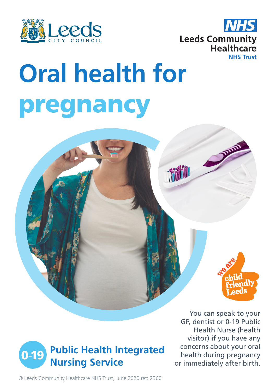



## **Oral health for** pregnancy





You can speak to your GP, dentist or 0-19 Public Health Nurse (health visitor) if you have any concerns about your oral health during pregnancy or immediately after birth.

© Leeds Community Healthcare NHS Trust, June 2020 ref: 2360